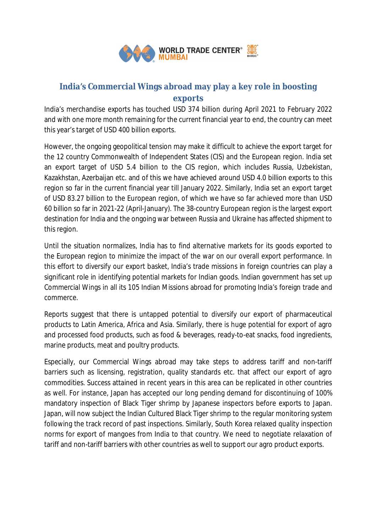

# **India's Commercial Wings abroad may play a key role in boosting exports**

India's merchandise exports has touched USD 374 billion during April 2021 to February 2022 and with one more month remaining for the current financial year to end, the country can meet this year's target of USD 400 billion exports.

However, the ongoing geopolitical tension may make it difficult to achieve the export target for the 12 country Commonwealth of Independent States (CIS) and the European region. India set an export target of USD 5.4 billion to the CIS region, which includes Russia, Uzbekistan, Kazakhstan, Azerbaijan etc. and of this we have achieved around USD 4.0 billion exports to this region so far in the current financial year till January 2022. Similarly, India set an export target of USD 83.27 billion to the European region, of which we have so far achieved more than USD 60 billion so far in 2021-22 (April-January). The 38-country European region is the largest export destination for India and the ongoing war between Russia and Ukraine has affected shipment to this region.

Until the situation normalizes, India has to find alternative markets for its goods exported to the European region to minimize the impact of the war on our overall export performance. In this effort to diversify our export basket, India's trade missions in foreign countries can play a significant role in identifying potential markets for Indian goods. Indian government has set up Commercial Wings in all its 105 Indian Missions abroad for promoting India's foreign trade and commerce.

Reports suggest that there is untapped potential to diversify our export of pharmaceutical products to Latin America, Africa and Asia. Similarly, there is huge potential for export of agro and processed food products, such as food & beverages, ready-to-eat snacks, food ingredients, marine products, meat and poultry products.

Especially, our Commercial Wings abroad may take steps to address tariff and non-tariff barriers such as licensing, registration, quality standards etc. that affect our export of agro commodities. Success attained in recent years in this area can be replicated in other countries as well. For instance, Japan has accepted our long pending demand for discontinuing of 100% mandatory inspection of Black Tiger shrimp by Japanese inspectors before exports to Japan. Japan, will now subject the Indian Cultured Black Tiger shrimp to the regular monitoring system following the track record of past inspections. Similarly, South Korea relaxed quality inspection norms for export of mangoes from India to that country. We need to negotiate relaxation of tariff and non-tariff barriers with other countries as well to support our agro product exports.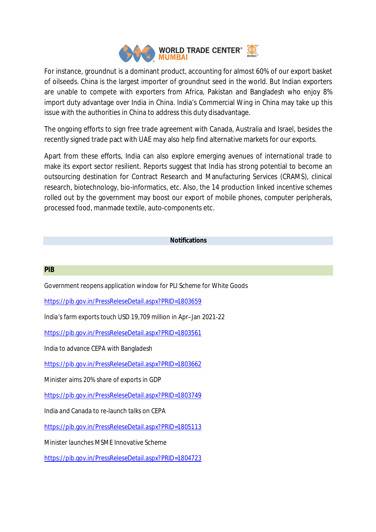

For instance, groundnut is a dominant product, accounting for almost 60% of our export basket of oilseeds. China is the largest importer of groundnut seed in the world. But Indian exporters are unable to compete with exporters from Africa, Pakistan and Bangladesh who enjoy 8% import duty advantage over India in China. India's Commercial Wing in China may take up this issue with the authorities in China to address this duty disadvantage.

The ongoing efforts to sign free trade agreement with Canada, Australia and Israel, besides the recently signed trade pact with UAE may also help find alternative markets for our exports.

Apart from these efforts, India can also explore emerging avenues of international trade to make its export sector resilient. Reports suggest that India has strong potential to become an outsourcing destination for Contract Research and Manufacturing Services (CRAMS), clinical research, biotechnology, bio-informatics, etc. Also, the 14 production linked incentive schemes rolled out by the government may boost our export of mobile phones, computer peripherals, processed food, manmade textile, auto-components etc.

# **Notifications**

### **PIB**

Government reopens application window for PLI Scheme for White Goods

https://pib.gov.in/PressReleseDetail.aspx?PRID=1803659

India's farm exports touch USD 19,709 million in Apr–Jan 2021-22

https://pib.gov.in/PressReleseDetail.aspx?PRID=1803561

India to advance CEPA with Bangladesh

https://pib.gov.in/PressReleseDetail.aspx?PRID=1803662

Minister aims 20% share of exports in GDP

https://pib.gov.in/PressReleseDetail.aspx?PRID=1803749

India and Canada to re-launch talks on CEPA

https://pib.gov.in/PressReleseDetail.aspx?PRID=1805113

Minister launches MSME Innovative Scheme

https://pib.gov.in/PressReleseDetail.aspx?PRID=1804723